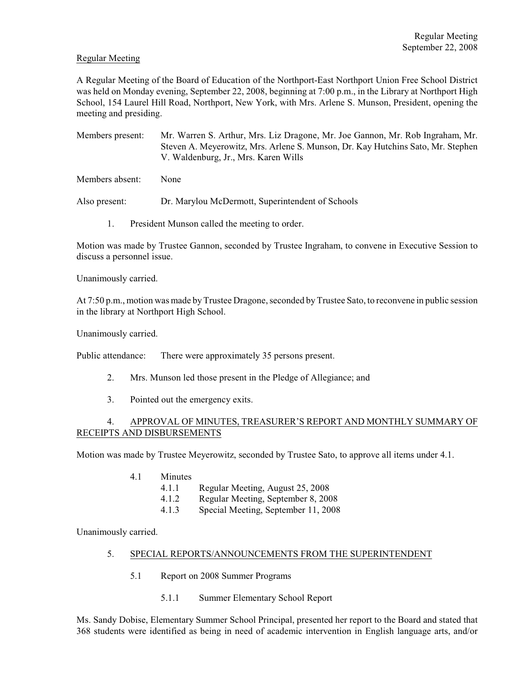### Regular Meeting

A Regular Meeting of the Board of Education of the Northport-East Northport Union Free School District was held on Monday evening, September 22, 2008, beginning at 7:00 p.m., in the Library at Northport High School, 154 Laurel Hill Road, Northport, New York, with Mrs. Arlene S. Munson, President, opening the meeting and presiding.

Members present: Mr. Warren S. Arthur, Mrs. Liz Dragone, Mr. Joe Gannon, Mr. Rob Ingraham, Mr. Steven A. Meyerowitz, Mrs. Arlene S. Munson, Dr. Kay Hutchins Sato, Mr. Stephen V. Waldenburg, Jr., Mrs. Karen Wills

Members absent: None

Also present: Dr. Marylou McDermott, Superintendent of Schools

1. President Munson called the meeting to order.

Motion was made by Trustee Gannon, seconded by Trustee Ingraham, to convene in Executive Session to discuss a personnel issue.

Unanimously carried.

At 7:50 p.m., motion was made by Trustee Dragone, seconded by Trustee Sato, to reconvene in public session in the library at Northport High School.

Unanimously carried.

Public attendance: There were approximately 35 persons present.

- 2. Mrs. Munson led those present in the Pledge of Allegiance; and
- 3. Pointed out the emergency exits.

# 4. APPROVAL OF MINUTES, TREASURER'S REPORT AND MONTHLY SUMMARY OF RECEIPTS AND DISBURSEMENTS

Motion was made by Trustee Meyerowitz, seconded by Trustee Sato, to approve all items under 4.1.

- 4.1 Minutes
	- 4.1.1 Regular Meeting, August 25, 2008
	- 4.1.2 Regular Meeting, September 8, 2008
	- 4.1.3 Special Meeting, September 11, 2008

Unanimously carried.

#### 5. SPECIAL REPORTS/ANNOUNCEMENTS FROM THE SUPERINTENDENT

- 5.1 Report on 2008 Summer Programs
	- 5.1.1 Summer Elementary School Report

Ms. Sandy Dobise, Elementary Summer School Principal, presented her report to the Board and stated that 368 students were identified as being in need of academic intervention in English language arts, and/or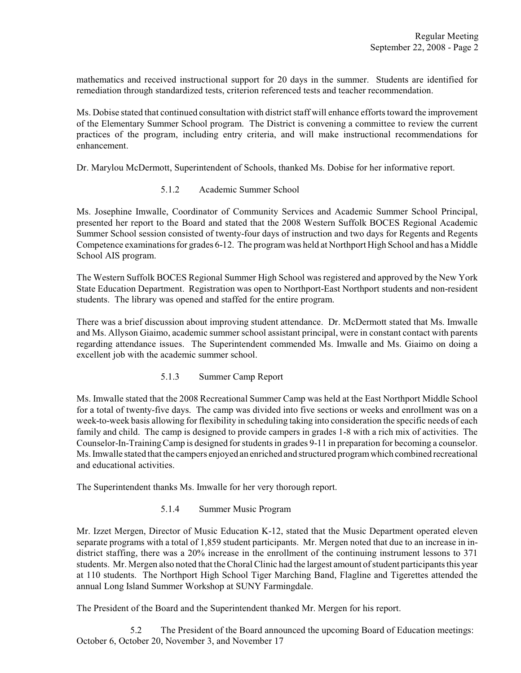mathematics and received instructional support for 20 days in the summer. Students are identified for remediation through standardized tests, criterion referenced tests and teacher recommendation.

Ms. Dobise stated that continued consultation with district staff will enhance efforts toward the improvement of the Elementary Summer School program. The District is convening a committee to review the current practices of the program, including entry criteria, and will make instructional recommendations for enhancement.

Dr. Marylou McDermott, Superintendent of Schools, thanked Ms. Dobise for her informative report.

5.1.2 Academic Summer School

Ms. Josephine Imwalle, Coordinator of Community Services and Academic Summer School Principal, presented her report to the Board and stated that the 2008 Western Suffolk BOCES Regional Academic Summer School session consisted of twenty-four days of instruction and two days for Regents and Regents Competence examinationsfor grades 6-12. The program was held at Northport High School and has a Middle School AIS program.

The Western Suffolk BOCES Regional Summer High School was registered and approved by the New York State Education Department. Registration was open to Northport-East Northport students and non-resident students. The library was opened and staffed for the entire program.

There was a brief discussion about improving student attendance. Dr. McDermott stated that Ms. Imwalle and Ms. Allyson Giaimo, academic summer school assistant principal, were in constant contact with parents regarding attendance issues. The Superintendent commended Ms. Imwalle and Ms. Giaimo on doing a excellent job with the academic summer school.

5.1.3 Summer Camp Report

Ms. Imwalle stated that the 2008 Recreational Summer Camp was held at the East Northport Middle School for a total of twenty-five days. The camp was divided into five sections or weeks and enrollment was on a week-to-week basis allowing for flexibility in scheduling taking into consideration the specific needs of each family and child. The camp is designed to provide campers in grades 1-8 with a rich mix of activities. The Counselor-In-TrainingCamp is designed for studentsin grades 9-11 in preparation for becoming a counselor. Ms. Imwalle stated that the campers enjoyed an enriched and structured program which combined recreational and educational activities.

The Superintendent thanks Ms. Imwalle for her very thorough report.

5.1.4 Summer Music Program

Mr. Izzet Mergen, Director of Music Education K-12, stated that the Music Department operated eleven separate programs with a total of 1,859 student participants. Mr. Mergen noted that due to an increase in indistrict staffing, there was a 20% increase in the enrollment of the continuing instrument lessons to 371 students. Mr. Mergen also noted that the Choral Clinic had the largest amount of student participants this year at 110 students. The Northport High School Tiger Marching Band, Flagline and Tigerettes attended the annual Long Island Summer Workshop at SUNY Farmingdale.

The President of the Board and the Superintendent thanked Mr. Mergen for his report.

5.2 The President of the Board announced the upcoming Board of Education meetings: October 6, October 20, November 3, and November 17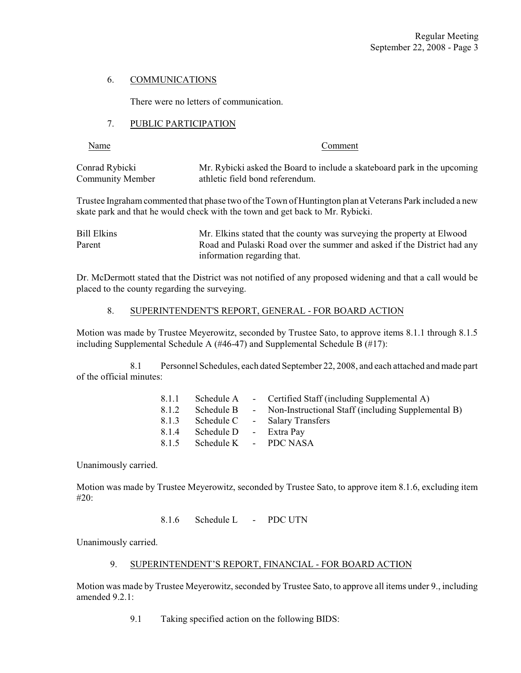### 6. COMMUNICATIONS

There were no letters of communication.

### 7. PUBLIC PARTICIPATION

Name Comment

| Conrad Rybicki   | Mr. Rybicki asked the Board to include a skateboard park in the upcoming |
|------------------|--------------------------------------------------------------------------|
| Community Member | athletic field bond referendum.                                          |

Trustee Ingraham commented that phase two of the Town of Huntington plan at Veterans Park included a new skate park and that he would check with the town and get back to Mr. Rybicki.

Bill Elkins Mr. Elkins stated that the county was surveying the property at Elwood Parent Road and Pulaski Road over the summer and asked if the District had any information regarding that.

Dr. McDermott stated that the District was not notified of any proposed widening and that a call would be placed to the county regarding the surveying.

# 8. SUPERINTENDENT'S REPORT, GENERAL - FOR BOARD ACTION

Motion was made by Trustee Meyerowitz, seconded by Trustee Sato, to approve items 8.1.1 through 8.1.5 including Supplemental Schedule A (#46-47) and Supplemental Schedule B (#17):

8.1 Personnel Schedules, each dated September 22, 2008, and each attached and made part of the official minutes:

| 8.1.1 | Schedule A             | - Certified Staff (including Supplemental A)         |
|-------|------------------------|------------------------------------------------------|
| 8.1.2 | Schedule B             | - Non-Instructional Staff (including Supplemental B) |
| 8.1.3 | Schedule C             | - Salary Transfers                                   |
| 8.1.4 | Schedule D - Extra Pay |                                                      |
| 8.1.5 | Schedule K - PDC NASA  |                                                      |

Unanimously carried.

Motion was made by Trustee Meyerowitz, seconded by Trustee Sato, to approve item 8.1.6, excluding item #20:

8.1.6 Schedule L - PDC UTN

Unanimously carried.

# 9. SUPERINTENDENT'S REPORT, FINANCIAL - FOR BOARD ACTION

Motion was made by Trustee Meyerowitz, seconded by Trustee Sato, to approve all items under 9., including amended 9.2.1:

9.1 Taking specified action on the following BIDS: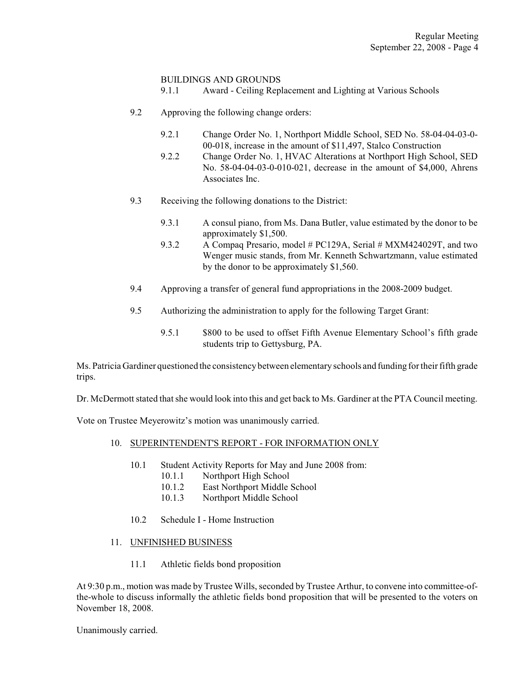### BUILDINGS AND GROUNDS

9.1.1 Award - Ceiling Replacement and Lighting at Various Schools

- 9.2 Approving the following change orders:
	- 9.2.1 Change Order No. 1, Northport Middle School, SED No. 58-04-04-03-0- 00-018, increase in the amount of \$11,497, Stalco Construction
	- 9.2.2 Change Order No. 1, HVAC Alterations at Northport High School, SED No. 58-04-04-03-0-010-021, decrease in the amount of \$4,000, Ahrens Associates Inc.
- 9.3 Receiving the following donations to the District:
	- 9.3.1 A consul piano, from Ms. Dana Butler, value estimated by the donor to be approximately \$1,500.
	- 9.3.2 A Compaq Presario, model # PC129A, Serial # MXM424029T, and two Wenger music stands, from Mr. Kenneth Schwartzmann, value estimated by the donor to be approximately \$1,560.
- 9.4 Approving a transfer of general fund appropriations in the 2008-2009 budget.
- 9.5 Authorizing the administration to apply for the following Target Grant:
	- 9.5.1 \$800 to be used to offset Fifth Avenue Elementary School's fifth grade students trip to Gettysburg, PA.

Ms. Patricia Gardiner questioned the consistency between elementary schools and funding for their fifth grade trips.

Dr. McDermott stated that she would look into this and get back to Ms. Gardiner at the PTA Council meeting.

Vote on Trustee Meyerowitz's motion was unanimously carried.

- 10. SUPERINTENDENT'S REPORT FOR INFORMATION ONLY
	- 10.1 Student Activity Reports for May and June 2008 from:
		- 10.1.1 Northport High School
		- 10.1.2 East Northport Middle School
		- 10.1.3 Northport Middle School
	- 10.2 Schedule I Home Instruction
- 11. UNFINISHED BUSINESS
	- 11.1 Athletic fields bond proposition

At 9:30 p.m., motion was made by Trustee Wills, seconded by Trustee Arthur, to convene into committee-ofthe-whole to discuss informally the athletic fields bond proposition that will be presented to the voters on November 18, 2008.

Unanimously carried.